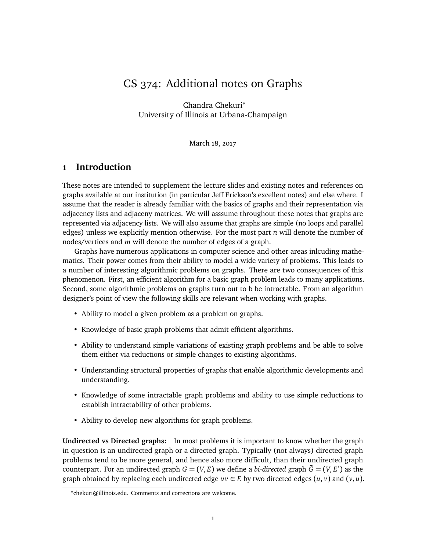# CS 374: Additional notes on Graphs

Chandra Chekuri<sup>∗</sup> University of Illinois at Urbana-Champaign

March 18, 2017

# **1 Introduction**

These notes are intended to supplement the lecture slides and existing notes and references on graphs available at our institution (in particular Jeff Erickson's excellent notes) and else where. I assume that the reader is already familiar with the basics of graphs and their representation via adjacency lists and adjaceny matrices. We will asssume throughout these notes that graphs are represented via adjacency lists. We will also assume that graphs are simple (no loops and parallel edges) unless we explicitly mention otherwise. For the most part *n* will denote the number of nodes/vertices and *m* will denote the number of edges of a graph.

Graphs have numerous applications in computer science and other areas inlcuding mathematics. Their power comes from their ability to model a wide variety of problems. This leads to a number of interesting algorithmic problems on graphs. There are two consequences of this phenomenon. First, an efficient algorithm for a basic graph problem leads to many applications. Second, some algorithmic problems on graphs turn out to b be intractable. From an algorithm designer's point of view the following skills are relevant when working with graphs.

- Ability to model a given problem as a problem on graphs.
- Knowledge of basic graph problems that admit efficient algorithms.
- Ability to understand simple variations of existing graph problems and be able to solve them either via reductions or simple changes to existing algorithms.
- Understanding structural properties of graphs that enable algorithmic developments and understanding.
- Knowledge of some intractable graph problems and ability to use simple reductions to establish intractability of other problems.
- Ability to develop new algorithms for graph problems.

**Undirected vs Directed graphs:** In most problems it is important to know whether the graph in question is an undirected graph or a directed graph. Typically (not always) directed graph problems tend to be more general, and hence also more difficult, than their undirected graph counterpart. For an undirected graph  $G = (V, E)$  we define a *bi-directed* graph  $\bar{G} = (V, E')$  as the graph obtained by replacing each undirected edge  $uv \in E$  by two directed edges  $(u, v)$  and  $(v, u)$ .

<sup>∗</sup> chekuri@illinois.edu. Comments and corrections are welcome.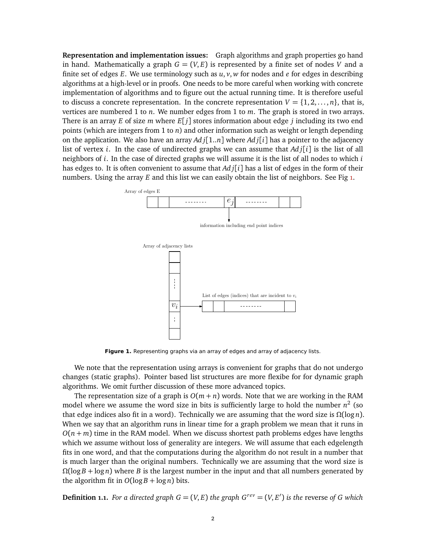**Representation and implementation issues:** Graph algorithms and graph properties go hand in hand. Mathematically a graph  $G = (V, E)$  is represented by a finite set of nodes *V* and a finite set of edges  $E$ . We use terminology such as  $u, v, w$  for nodes and  $e$  for edges in describing algorithms at a high-level or in proofs. One needs to be more careful when working with concrete implementation of algorithms and to figure out the actual running time. It is therefore useful to discuss a concrete representation. In the concrete representation  $V = \{1, 2, ..., n\}$ , that is, vertices are numbered 1 to *n*. We number edges from 1 to *m*. The graph is stored in two arrays. There is an array *E* of size *m* where *E*[ *j*] stores information about edge *j* including its two end points (which are integers from 1 to *n*) and other information such as weight or length depending on the application. We also have an array *Ad j*[1..*n*] where *Ad j*[*i*] has a pointer to the adjacency list of vertex *i*. In the case of undirected graphs we can assume that *Ad j*[*i*] is the list of all neighbors of *i*. In the case of directed graphs we will assume it is the list of all nodes to which *i* has edges to. It is often convenient to assume that *Ad j*[*i*] has a list of edges in the form of their numbers. Using the array *E* and this list we can easily obtain the list of neighbors. See Fig [1.](#page-1-0)



<span id="page-1-0"></span>Figure 1. Representing graphs via an array of edges and array of adjacency lists.

We note that the representation using arrays is convenient for graphs that do not undergo changes (static graphs). Pointer based list structures are more flexibe for for dynamic graph algorithms. We omit further discussion of these more advanced topics.

The representation size of a graph is  $O(m + n)$  words. Note that we are working in the RAM model where we assume the word size in bits is sufficiently large to hold the number *n* 2 (so that edge indices also fit in a word). Technically we are assuming that the word size is  $Ω(log n)$ . When we say that an algorithm runs in linear time for a graph problem we mean that it runs in  $O(n+m)$  time in the RAM model. When we discuss shortest path problems edges have lengths which we assume without loss of generality are integers. We will assume that each edgelength fits in one word, and that the computations during the algorithm do not result in a number that is much larger than the original numbers. Technically we are assuming that the word size is *Ω*(log *B* + log *n*) where *B* is the largest number in the input and that all numbers generated by the algorithm fit in  $O(\log B + \log n)$  bits.

**Definition 1.1.** For a directed graph  $G = (V, E)$  the graph  $G^{rev} = (V, E')$  is the reverse of G which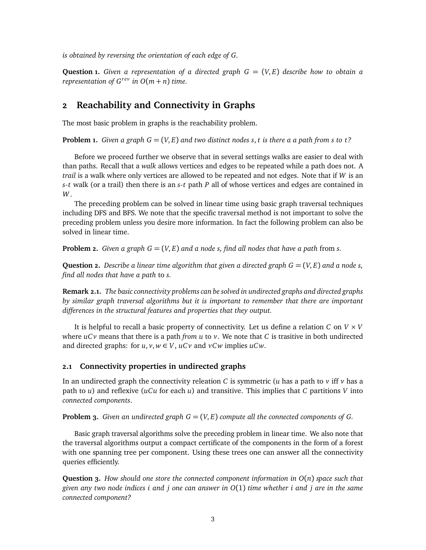*is obtained by reversing the orientation of each edge of G.*

**Question 1.** Given a representation of a directed graph  $G = (V, E)$  describe how to obtain a *representation of*  $G^{rev}$  *in*  $O(m+n)$  *time.* 

### **2 Reachability and Connectivity in Graphs**

The most basic problem in graphs is the reachability problem.

**Problem 1.** *Given a graph*  $G = (V, E)$  *and two distinct nodes s, t is there a a path from s to t?* 

Before we proceed further we observe that in several settings walks are easier to deal with than paths. Recall that a *walk* allows vertices and edges to be repeated while a path does not. A *trail* is a walk where only vertices are allowed to be repeated and not edges. Note that if *W* is an *s*-*t* walk (or a trail) then there is an *s*-*t* path *P* all of whose vertices and edges are contained in *W*.

The preceding problem can be solved in linear time using basic graph traversal techniques including DFS and BFS. We note that the specific traversal method is not important to solve the preceding problem unless you desire more information. In fact the following problem can also be solved in linear time.

**Problem 2.** *Given a graph*  $G = (V, E)$  *and a node s, find all nodes that have a path from s.* 

**Question 2.** Describe a linear time algorithm that given a directed graph  $G = (V, E)$  and a node *s*, *find all nodes that have a path* to *s.*

**Remark 2.1.** *The basic connectivity problems can be solved in undirected graphs and directed graphs by similar graph traversal algorithms but it is important to remember that there are important differences in the structural features and properties that they output.*

It is helpful to recall a basic property of connectivity. Let us define a relation *C* on *V* × *V* where  $ucv$  means that there is a path *from*  $u$  to  $v$ . We note that  $C$  is trasitive in both undirected and directed graphs: for  $u, v, w \in V$ ,  $ucv$  and  $vCw$  implies  $uCw$ .

#### **2.1 Connectivity properties in undirected graphs**

In an undirected graph the connectivity releation *C* is symmetric (*u* has a path to *v* iff *v* has a path to *u*) and reflexive (*uCu* for each *u*) and transitive. This implies that *C* partitions *V* into *connected components*.

**Problem 3.** *Given an undirected graph*  $G = (V, E)$  *compute all the connected components of*  $G$ *.* 

Basic graph traversal algorithms solve the preceding problem in linear time. We also note that the traversal algorithms output a compact certificate of the components in the form of a forest with one spanning tree per component. Using these trees one can answer all the connectivity queries efficiently.

**Question 3.** *How should one store the connected component information in O*(*n*) *space such that given any two node indices i and j one can answer in O*(1) *time whether i and j are in the same connected component?*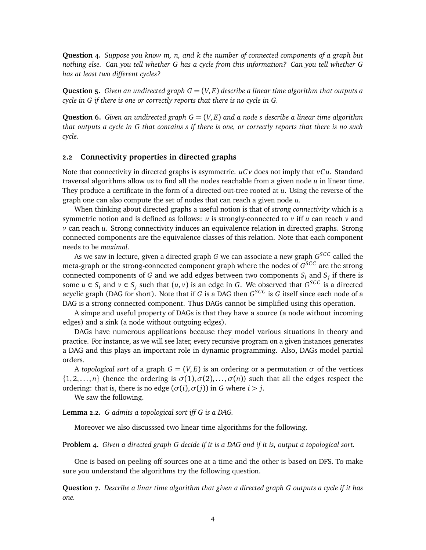**Question 4.** *Suppose you know m, n, and k the number of connected components of a graph but nothing else. Can you tell whether G has a cycle from this information? Can you tell whether G has at least two different cycles?*

**Question 5.** *Given an undirected graph*  $G = (V, E)$  *describe a linear time algorithm that outputs a cycle in G if there is one or correctly reports that there is no cycle in G.*

**Question 6.** *Given an undirected graph*  $G = (V, E)$  *and a node s describe a linear time algorithm that outputs a cycle in G that contains s if there is one, or correctly reports that there is no such cycle.*

#### **2.2 Connectivity properties in directed graphs**

Note that connectivity in directed graphs is asymmetric. *uC v* does not imply that *vCu*. Standard traversal algorithms allow us to find all the nodes reachable from a given node *u* in linear time. They produce a certificate in the form of a directed out-tree rooted at *u*. Using the reverse of the graph one can also compute the set of nodes that can reach a given node *u*.

When thinking about directed graphs a useful notion is that of *strong connectivity* which is a symmetric notion and is defined as follows: *u* is strongly-connected to *v* iff *u* can reach *v* and *v* can reach *u*. Strong connectivity induces an equivalence relation in directed graphs. Strong connected components are the equivalence classes of this relation. Note that each component needs to be *maximal*.

As we saw in lecture, given a directed graph *G* we can associate a new graph *G SCC* called the meta-graph or the strong-connected component graph where the nodes of  $G^{SCC}$  are the strong connected components of *G* and we add edges between two components *S<sup>i</sup>* and *S<sup>j</sup>* if there is some  $u \in S_i$  and  $v \in S_j$  such that  $(u, v)$  is an edge in *G*. We observed that  $G^{SCC}$  is a directed acyclic graph (DAG for short). Note that if *G* is a DAG then *G SCC* is *G* itself since each node of a DAG is a strong connected component. Thus DAGs cannot be simplified using this operation.

A simpe and useful property of DAGs is that they have a source (a node without incoming edges) and a sink (a node without outgoing edges).

DAGs have numerous applications because they model various situations in theory and practice. For instance, as we will see later, every recursive program on a given instances generates a DAG and this plays an important role in dynamic programming. Also, DAGs model partial orders.

A *topological sort* of a graph  $G = (V, E)$  is an ordering or a permutation  $\sigma$  of the vertices  $\{1, 2, \ldots, n\}$  (hence the ordering is  $\sigma(1), \sigma(2), \ldots, \sigma(n)$ ) such that all the edges respect the ordering: that is, there is no edge (*σ*(*i*),*σ*(*j*)) in *G* where *i > j*.

We saw the following.

**Lemma 2.2.** *G admits a topological sort iff G is a DAG.*

Moreover we also discusssed two linear time algorithms for the following.

**Problem 4.** *Given a directed graph G decide if it is a DAG and if it is, output a topological sort.*

One is based on peeling off sources one at a time and the other is based on DFS. To make sure you understand the algorithms try the following question.

**Question 7.** *Describe a linar time algorithm that given a directed graph G outputs a cycle if it has one.*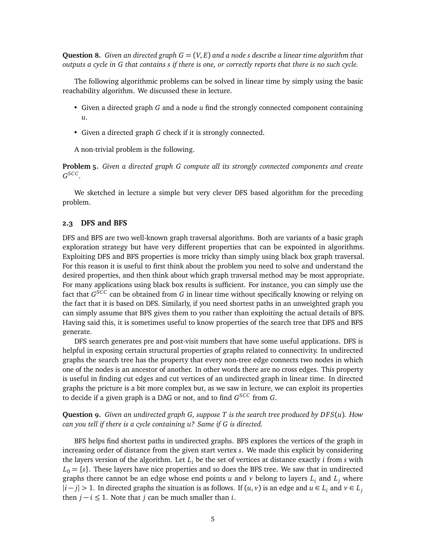**Question 8.** *Given an directed graph G* = (*V*, *E*) *and a node s describe a linear time algorithm that outputs a cycle in G that contains s if there is one, or correctly reports that there is no such cycle.*

The following algorithmic problems can be solved in linear time by simply using the basic reachability algorithm. We discussed these in lecture.

- Given a directed graph *G* and a node *u* find the strongly connected component containing *u*.
- Given a directed graph *G* check if it is strongly connected.

A non-trivial problem is the following.

**Problem 5.** *Given a directed graph G compute all its strongly connected components and create G SCC .*

We sketched in lecture a simple but very clever DFS based algorithm for the preceding problem.

#### **2.3 DFS and BFS**

DFS and BFS are two well-known graph traversal algorithms. Both are variants of a basic graph exploration strategy but have very different properties that can be expointed in algorithms. Exploiting DFS and BFS properties is more tricky than simply using black box graph traversal. For this reason it is useful to first think about the problem you need to solve and understand the desired properties, and then think about which graph traversal method may be most appropriate. For many applications using black box results is sufficient. For instance, you can simply use the fact that *G SCC* can be obtained from *G* in linear time without specifically knowing or relying on the fact that it is based on DFS. Similarly, if you need shortest paths in an unweighted graph you can simply assume that BFS gives them to you rather than exploiting the actual details of BFS. Having said this, it is sometimes useful to know properties of the search tree that DFS and BFS generate.

DFS search generates pre and post-visit numbers that have some useful applications. DFS is helpful in exposing certain structural properties of graphs related to connectivity. In undirected graphs the search tree has the property that every non-tree edge connects two nodes in which one of the nodes is an ancestor of another. In other words there are no cross edges. This property is useful in finding cut edges and cut vertices of an undirected graph in linear time. In directed graphs the pricture is a bit more complex but, as we saw in lecture, we can exploit its properties to decide if a given graph is a DAG or not, and to find *G SCC* from *G*.

**Question 9.** *Given an undirected graph G, suppose T is the search tree produced by DFS*(*u*)*. How can you tell if there is a cycle containing u? Same if G is directed.*

BFS helps find shortest paths in undirected graphs. BFS explores the vertices of the graph in increasing order of distance from the given start vertex *s*. We made this explicit by considering the layers version of the algorithm. Let  $L_i$  be the set of vertices at distance exactly  $i$  from  $s$  with  $L_0 = \{s\}$ . These layers have nice properties and so does the BFS tree. We saw that in undirected graphs there cannot be an edge whose end points *u* and *v* belong to layers  $L_i$  and  $L_j$  where  $|i-j|$  > 1. In directed graphs the situation is as follows. If  $(u, v)$  is an edge and  $u ∈ L_i$  and  $v ∈ L_j$ then  $j - i \leq 1$ . Note that *j* can be much smaller than *i*.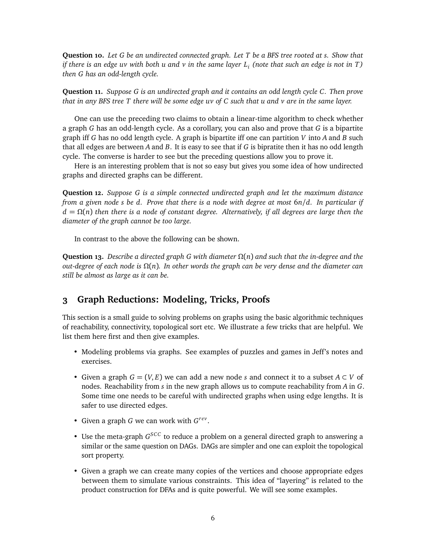**Question 10.** *Let G be an undirected connected graph. Let T be a BFS tree rooted at s. Show that if there is an edge uv with both u and v in the same layer L<sup>i</sup> (note that such an edge is not in T) then G has an odd-length cycle.*

**Question 11.** *Suppose G is an undirected graph and it contains an odd length cycle C. Then prove that in any BFS tree T there will be some edge uv of C such that u and v are in the same layer.*

One can use the preceding two claims to obtain a linear-time algorithm to check whether a graph *G* has an odd-length cycle. As a corollary, you can also and prove that *G* is a bipartite graph iff *G* has no odd length cycle. A graph is bipartite iff one can partition *V* into *A* and *B* such that all edges are between *A* and *B*. It is easy to see that if *G* is bipratite then it has no odd length cycle. The converse is harder to see but the preceding questions allow you to prove it.

Here is an interesting problem that is not so easy but gives you some idea of how undirected graphs and directed graphs can be different.

**Question 12.** *Suppose G is a simple connected undirected graph and let the maximum distance from a given node s be d. Prove that there is a node with degree at most* 6*n/d. In particular if*  $d = \Omega(n)$  *then there is a node of constant degree. Alternatively, if all degrees are large then the diameter of the graph cannot be too large.*

In contrast to the above the following can be shown.

**Question 13.** *Describe a directed graph G with diameter Ω*(*n*) *and such that the in-degree and the out-degree of each node is Ω*(*n*)*. In other words the graph can be very dense and the diameter can still be almost as large as it can be.*

### **3 Graph Reductions: Modeling, Tricks, Proofs**

This section is a small guide to solving problems on graphs using the basic algorithmic techniques of reachability, connectivity, topological sort etc. We illustrate a few tricks that are helpful. We list them here first and then give examples.

- Modeling problems via graphs. See examples of puzzles and games in Jeff's notes and exercises.
- Given a graph  $G = (V, E)$  we can add a new node *s* and connect it to a subset  $A \subset V$  of nodes. Reachability from *s* in the new graph allows us to compute reachability from *A* in *G*. Some time one needs to be careful with undirected graphs when using edge lengths. It is safer to use directed edges.
- Given a graph *G* we can work with *G rev* .
- Use the meta-graph  $G^{SCC}$  to reduce a problem on a general directed graph to answering a similar or the same question on DAGs. DAGs are simpler and one can exploit the topological sort property.
- Given a graph we can create many copies of the vertices and choose appropriate edges between them to simulate various constraints. This idea of "layering" is related to the product construction for DFAs and is quite powerful. We will see some examples.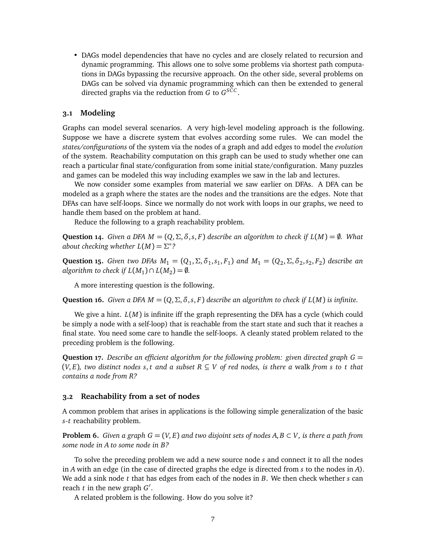• DAGs model dependencies that have no cycles and are closely related to recursion and dynamic programming. This allows one to solve some problems via shortest path computations in DAGs bypassing the recursive approach. On the other side, several problems on DAGs can be solved via dynamic programming which can then be extended to general directed graphs via the reduction from *G* to *G SCC* .

#### **3.1 Modeling**

Graphs can model several scenarios. A very high-level modeling approach is the following. Suppose we have a discrete system that evolves according some rules. We can model the *states/configurations* of the system via the nodes of a graph and add edges to model the *evolution* of the system. Reachability computation on this graph can be used to study whether one can reach a particular final state/configuration from some initial state/configuration. Many puzzles and games can be modeled this way including examples we saw in the lab and lectures.

We now consider some examples from material we saw earlier on DFAs. A DFA can be modeled as a graph where the states are the nodes and the transitions are the edges. Note that DFAs can have self-loops. Since we normally do not work with loops in our graphs, we need to handle them based on the problem at hand.

Reduce the following to a graph reachability problem.

**Question 14.** *Given a DFA*  $M = (Q, \Sigma, \delta, s, F)$  *describe an algorithm to check if*  $L(M) = \emptyset$ *. What about checking whether*  $L(M) = \Sigma^*$ ?

**Question 15.** *Given two DFAs*  $M_1 = (Q_1, \Sigma, \delta_1, s_1, F_1)$  *and*  $M_1 = (Q_2, \Sigma, \delta_2, s_2, F_2)$  *describe an algorithm to check if*  $L(M_1) \cap L(M_2) = \emptyset$ .

A more interesting question is the following.

**Question 16.** *Given a DFA*  $M = (Q, \Sigma, \delta, s, F)$  *describe an algorithm to check if*  $L(M)$  *is infinite.* 

We give a hint. *L*(*M*) is infinite iff the graph representing the DFA has a cycle (which could be simply a node with a self-loop) that is reachable from the start state and such that it reaches a final state. You need some care to handle the self-loops. A cleanly stated problem related to the preceding problem is the following.

**Question 17.** *Describe an efficient algorithm for the following problem: given directed graph G* =  $(V, E)$ , two distinct nodes *s*, *t* and a subset  $R \subseteq V$  of red nodes, is there a walk from *s* to *t* that *contains a node from R?*

#### **3.2 Reachability from a set of nodes**

A common problem that arises in applications is the following simple generalization of the basic *s*-*t* reachability problem.

<span id="page-6-0"></span>**Problem 6.** *Given a graph*  $G = (V, E)$  *and two disjoint sets of nodes*  $A, B \subset V$ *, is there a path from some node in A to some node in B?*

To solve the preceding problem we add a new source node *s* and connect it to all the nodes in *A* with an edge (in the case of directed graphs the edge is directed from *s* to the nodes in *A*). We add a sink node *t* that has edges from each of the nodes in *B*. We then check whether *s* can reach *t* in the new graph *G'*.

A related problem is the following. How do you solve it?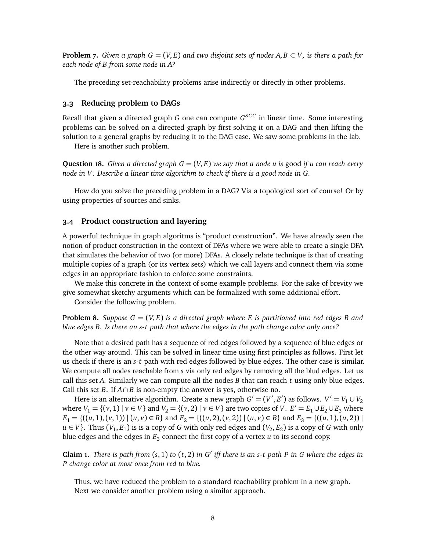**Problem 7.** *Given a graph*  $G = (V, E)$  *and two disjoint sets of nodes*  $A, B \subset V$ *, is there a path for each node of B from some node in A?*

The preceding set-reachability problems arise indirectly or directly in other problems.

#### **3.3 Reducing problem to DAGs**

Recall that given a directed graph *G* one can compute *G SCC* in linear time. Some interesting problems can be solved on a directed graph by first solving it on a DAG and then lifting the solution to a general graphs by reducing it to the DAG case. We saw some problems in the lab.

Here is another such problem.

**Question 18.** *Given a directed graph*  $G = (V, E)$  *we say that a node u is good if u can reach every node in V. Describe a linear time algorithm to check if there is a good node in G.*

How do you solve the preceding problem in a DAG? Via a topological sort of course! Or by using properties of sources and sinks.

#### **3.4 Product construction and layering**

A powerful technique in graph algoritms is "product construction". We have already seen the notion of product construction in the context of DFAs where we were able to create a single DFA that simulates the behavior of two (or more) DFAs. A closely relate technique is that of creating multiple copies of a graph (or its vertex sets) which we call layers and connect them via some edges in an appropriate fashion to enforce some constraints.

We make this concrete in the context of some example problems. For the sake of brevity we give somewhat sketchy arguments which can be formalized with some additional effort.

Consider the following problem.

**Problem 8.** *Suppose*  $G = (V, E)$  *is a directed graph where E is partitioned into red edges R and blue edges B. Is there an s-t path that where the edges in the path change color only once?*

Note that a desired path has a sequence of red edges followed by a sequence of blue edges or the other way around. This can be solved in linear time using first principles as follows. First let us check if there is an *s*-*t* path with red edges followed by blue edges. The other case is similar. We compute all nodes reachable from *s* via only red edges by removing all the blud edges. Let us call this set *A*. Similarly we can compute all the nodes *B* that can reach *t* using only blue edges. Call this set *B*. If  $A \cap B$  is non-empty the answer is yes, otherwise no.

Here is an alternative algorithm. Create a new graph  $G' = (V', E')$  as follows.  $V' = V_1 \cup V_2$ where *V*<sub>1</sub> = {(*v*, 1) | *v* ∈ *V*} and *V*<sub>2</sub> = {(*v*, 2) | *v* ∈ *V*} are two copies of *V*. *E*<sup>'</sup> = *E*<sub>1</sub>∪ *E*<sub>2</sub>∪ *E*<sub>3</sub> where  $E_1 = \{((u, 1), (v, 1)) | (u, v) \in R\}$  and  $E_2 = \{((u, 2), (v, 2)) | (u, v) \in B\}$  and  $E_3 = \{((u, 1), (u, 2)) | (u, v) \in B\}$ *u* ∈ *V*}. Thus (*V*<sub>1</sub>, *E*<sub>1</sub>) is is a copy of *G* with only red edges and (*V*<sub>2</sub>, *E*<sub>2</sub>) is a copy of *G* with only blue edges and the edges in *E*<sup>3</sup> connect the first copy of a vertex *u* to its second copy.

**Claim 1.** *There is path from* (*s*, 1) *to* (*t*, 2) *in G* 0 *iff there is an s-t path P in G where the edges in P change color at most once from red to blue.*

<span id="page-7-0"></span>Thus, we have reduced the problem to a standard reachability problem in a new graph. Next we consider another problem using a similar approach.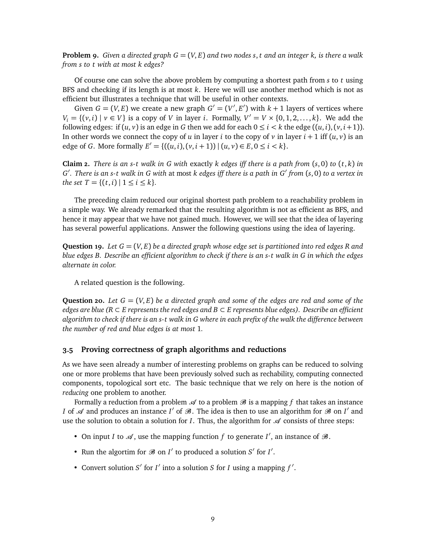**Problem 9.** *Given a directed graph G* = (*V*, *E*) *and two nodes s*, *t and an integer k, is there a walk from s to t with at most k edges?*

Of course one can solve the above problem by computing a shortest path from *s* to *t* using BFS and checking if its length is at most *k*. Here we will use another method which is not as efficient but illustrates a technique that will be useful in other contexts.

Given  $G = (V, E)$  we create a new graph  $G' = (V', E')$  with  $k + 1$  layers of vertices where *V*<sup>*i*</sup> = {(*v*, *i*) | *v* ∈ *V*} is a copy of *V* in layer *i*. Formally,  $V' = V \times \{0, 1, 2, ..., k\}$ . We add the following edges: if  $(u, v)$  is an edge in G then we add for each  $0 \le i \le k$  the edge  $((u, i), (v, i+1))$ . In other words we connect the copy of *u* in layer *i* to the copy of *v* in layer  $i + 1$  iff  $(u, v)$  is an edge of *G*. More formally  $E' = \{((u, i), (v, i + 1)) | (u, v) \in E, 0 \le i < k\}.$ 

**Claim 2.** *There is an s-t walk in G with exactly k edges iff there is a path from*  $(s, 0)$  to  $(t, k)$  *in G* 0 *. There is an s-t walk in G with* at most *k edges iff there is a path in G* 0 *from* (*s*, 0) *to a vertex in the set*  $T = \{(t, i) | 1 \le i \le k\}.$ 

The preceding claim reduced our original shortest path problem to a reachability problem in a simple way. We already remarked that the resulting algorithm is not as efficient as BFS, and hence it may appear that we have not gained much. However, we will see that the idea of layering has several powerful applications. Answer the following questions using the idea of layering.

**Question 19.** *Let G* = (*V*, *E*) *be a directed graph whose edge set is partitioned into red edges R and blue edges B. Describe an efficient algorithm to check if there is an s-t walk in G in which the edges alternate in color.*

A related question is the following.

**Question 20.** *Let*  $G = (V, E)$  *be a directed graph and some of the edges are red and some of the edges are blue (R* ⊂ *E represents the red edges and B* ⊂ *E represents blue edges). Describe an efficient algorithm to check if there is an s-t walk in G where in each prefix of the walk the difference between the number of red and blue edges is at most* 1*.*

#### **3.5 Proving correctness of graph algorithms and reductions**

As we have seen already a number of interesting problems on graphs can be reduced to solving one or more problems that have been previously solved such as rechability, computing connected components, topological sort etc. The basic technique that we rely on here is the notion of *reducing* one problem to another.

Formally a reduction from a problem  $\mathcal A$  to a problem  $\mathcal B$  is a mapping f that takes an instance *I* of  $\mathcal A$  and produces an instance *I'* of  $\mathcal B$ . The idea is then to use an algorithm for  $\mathcal B$  on *I'* and use the solution to obtain a solution for  $I$ . Thus, the algorithm for  $\mathscr A$  consists of three steps:

- On input *I* to  $\mathcal{A}$ , use the mapping function *f* to generate *I'*, an instance of  $\mathcal{B}$ .
- Run the algortim for  $\mathcal{B}$  on  $I'$  to produced a solution  $S'$  for  $I'$ .
- Convert solution  $S'$  for  $I'$  into a solution  $S$  for  $I$  using a mapping  $f'$ .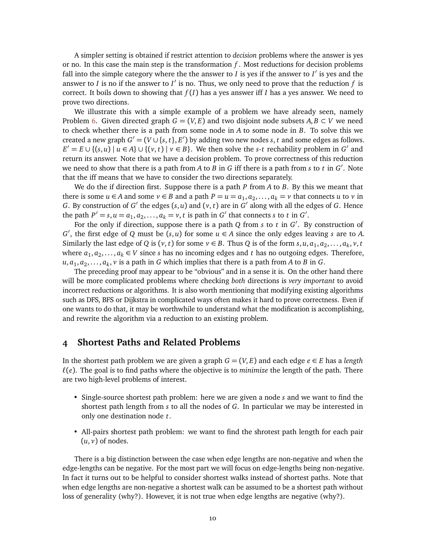A simpler setting is obtained if restrict attention to *decision* problems where the answer is yes or no. In this case the main step is the transformation *f* . Most reductions for decision problems fall into the simple category where the the answer to *I* is yes if the answer to *I'* is yes and the answer to *I* is no if the answer to *I'* is no. Thus, we only need to prove that the reduction  $f$  is correct. It boils down to showing that  $f(I)$  has a yes answer iff *I* has a yes answer. We need to prove two directions.

We illustrate this with a simple example of a problem we have already seen, namely Problem [6.](#page-6-0) Given directed graph  $G = (V, E)$  and two disjoint node subsets  $A, B \subset V$  we need to check whether there is a path from some node in *A* to some node in *B*. To solve this we created a new graph  $G' = (V \cup \{s, t\}, E')$  by adding two new nodes *s*, *t* and some edges as follows.  $E' = E \cup \{(s, u) \mid u \in A\} \cup \{(v, t) \mid v \in B\}$ . We then solve the *s*-*t* rechability problem in *G*<sup>'</sup> and return its answer. Note that we have a decision problem. To prove correctness of this reduction we need to show that there is a path from *A* to *B* in *G* iff there is a path from *s* to *t* in *G* 0 . Note that the iff means that we have to consider the two directions separately.

We do the if direction first. Suppose there is a path *P* from *A* to *B*. By this we meant that there is some  $u \in A$  and some  $v \in B$  and a path  $P = u = a_1, a_2, \ldots, a_k = v$  that connects *u* to *v* in *G*. By construction of *G*<sup> $\prime$ </sup> the edges (*s*, *u*) and (*v*, *t*) are in *G*<sup> $\prime$ </sup> along with all the edges of *G*. Hence the path  $P' = s$ ,  $u = a_1, a_2, ..., a_k = v$ , *t* is path in *G*<sup> $\prime$ </sup> that connects *s* to *t* in *G*<sup> $\prime$ </sup>.

For the only if direction, suppose there is a path *Q* from *s* to *t* in *G* 0 . By construction of *G*<sup> $′$ </sup>, the first edge of *Q* must be (*s*, *u*) for some *u* ∈ *A* since the only edges leaving *s* are to *A*. Similarly the last edge of *Q* is  $(v, t)$  for some  $v \in B$ . Thus *Q* is of the form  $s, u, a_1, a_2, \ldots, a_k, v, t$ where  $a_1, a_2, \ldots, a_k \in V$  since *s* has no incoming edges and *t* has no outgoing edges. Therefore,  $u, a_1, a_2, \ldots, a_k, v$  is a path in *G* which implies that there is a path from *A* to *B* in *G*.

The preceding proof may appear to be "obvious" and in a sense it is. On the other hand there will be more complicated problems where checking *both* directions is *very important* to avoid incorrect reductions or algorithms. It is also worth mentioning that modifying existing algorithms such as DFS, BFS or Dijkstra in complicated ways often makes it hard to prove correctness. Even if one wants to do that, it may be worthwhile to understand what the modification is accomplishing, and rewrite the algorithm via a reduction to an existing problem.

## **4 Shortest Paths and Related Problems**

In the shortest path problem we are given a graph  $G = (V, E)$  and each edge  $e \in E$  has a *length*  $\ell(e)$ . The goal is to find paths where the objective is to *minimize* the length of the path. There are two high-level problems of interest.

- Single-source shortest path problem: here we are given a node *s* and we want to find the shortest path length from *s* to all the nodes of *G*. In particular we may be interested in only one destination node *t*.
- All-pairs shortest path problem: we want to find the shrotest path length for each pair  $(u, v)$  of nodes.

There is a big distinction between the case when edge lengths are non-negative and when the edge-lengths can be negative. For the most part we will focus on edge-lengths being non-negative. In fact it turns out to be helpful to consider shortest walks instead of shortest paths. Note that when edge lengths are non-negative a shortest walk can be assumed to be a shortest path without loss of generality (why?). However, it is not true when edge lengths are negative (why?).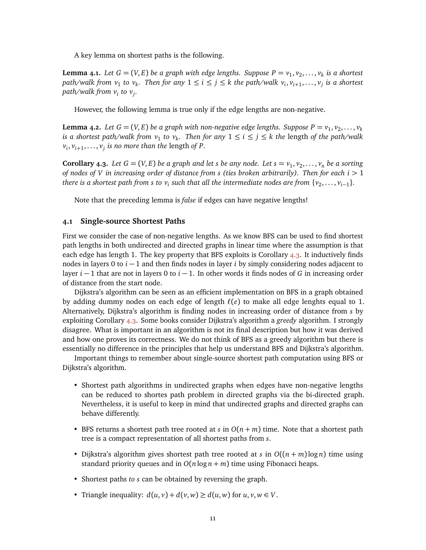A key lemma on shortest paths is the following.

**Lemma 4.1.** Let  $G = (V, E)$  be a graph with edge lengths. Suppose  $P = v_1, v_2, \ldots, v_k$  is a shortest  $path/walk from v_1 to v_k$ . Then for any  $1 \le i \le j \le k$  the path/walk  $v_i, v_{i+1}, \ldots, v_j$  is a shortest *path/walk from v<sup>i</sup> to v<sup>j</sup> .*

However, the following lemma is true only if the edge lengths are non-negative.

**Lemma 4.2.** Let  $G = (V, E)$  be a graph with non-negative edge lengths. Suppose  $P = v_1, v_2, \ldots, v_k$ *is a shortest path/walk from*  $v_1$  *to*  $v_k$ . Then for any  $1 \leq i \leq j \leq k$  the length of the path/walk  $v_i$ ,  $v_{i+1}$ ,...,  $v_j$  is no more than the length of P.

<span id="page-10-0"></span>**Corollary 4.3.** Let  $G = (V, E)$  be a graph and let *s* be any node. Let  $s = v_1, v_2, \ldots, v_n$  be a sorting *of nodes of V in increasing order of distance from s (ties broken arbitrarily). Then for each i >* 1 *there is a shortest path from s to*  $v_i$  *such that all the intermediate nodes are from*  $\{v_2, \ldots, v_{i-1}\}$ *.* 

Note that the preceding lemma is *false* if edges can have negative lengths!

#### **4.1 Single-source Shortest Paths**

First we consider the case of non-negative lengths. As we know BFS can be used to find shortest path lengths in both undirected and directed graphs in linear time where the assumption is that each edge has length 1. The key property that BFS exploits is Corollary  $4.3$ . It inductively finds nodes in layers 0 to *i* − 1 and then finds nodes in layer *i* by simply considering nodes adjacent to layer *i* − 1 that are not in layers 0 to *i* − 1. In other words it finds nodes of *G* in increasing order of distance from the start node.

Dijkstra's algorithm can be seen as an efficient implementation on BFS in a graph obtained by adding dummy nodes on each edge of length  $\ell(e)$  to make all edge lenghts equal to 1. Alternatively, Dijkstra's algorithm is finding nodes in increasing order of distance from *s* by exploiting Corollary [4.3.](#page-10-0) Some books consider Dijkstra's algorithm a *greedy* algorithm. I strongly disagree. What is important in an algorithm is not its final description but how it was derived and how one proves its correctness. We do not think of BFS as a greedy algorithm but there is essentially no difference in the principles that help us understand BFS and Dijkstra's algorithm.

Important things to remember about single-source shortest path computation using BFS or Dijkstra's algorithm.

- Shortest path algorithms in undirected graphs when edges have non-negative lengths can be reduced to shortes path problem in directed graphs via the bi-directed graph. Nevertheless, it is useful to keep in mind that undirected graphs and directed graphs can behave differently.
- BFS returns a shortest path tree rooted at *s* in  $O(n + m)$  time. Note that a shortest path tree is a compact representation of all shortest paths from *s*.
- Dijkstra's algorithm gives shortest path tree rooted at *s* in  $O((n + m) \log n)$  time using standard priority queues and in  $O(n \log n + m)$  time using Fibonacci heaps.
- Shortest paths *to s* can be obtained by reversing the graph.
- Triangle inequality:  $d(u, v) + d(v, w) \ge d(u, w)$  for  $u, v, w \in V$ .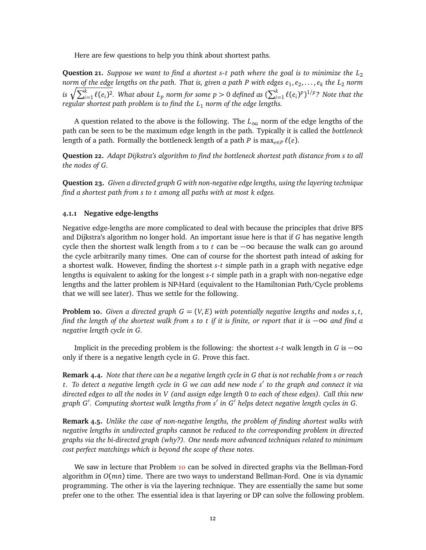Here are few questions to help you think about shortest paths.

**Question 21.** *Suppose we want to find a shortest s-t path where the goal is to minimize the*  $L_2$ *norm of the edge lengths on the path. That is, given a path P with edges e*<sup>1</sup> , *e*<sup>2</sup> , . . . , *e<sup>k</sup> the L*<sup>2</sup> *norm* is  $\sqrt{\sum_{i=1}^k \ell(e_i)^2}.$  What about  $L_p$  norm for some  $p>0$  defined as  $(\sum_{i=1}^k \ell(e_i)^p)^{1/p}$ ? Note that the *regular shortest path problem is to find the L*<sup>1</sup> *norm of the edge lengths.*

A question related to the above is the following. The  $L_{\infty}$  norm of the edge lengths of the path can be seen to be the maximum edge length in the path. Typically it is called the *bottleneck* length of a path. Formally the bottleneck length of a path *P* is max<sub>*e*∈*P*</sub>  $\ell$ (*e*).

**Question 22.** *Adapt Dijkstra's algorithm to find the bottleneck shortest path distance from s to all the nodes of G.*

**Question 23.** *Given a directed graph G with non-negative edge lengths, using the layering technique find a shortest path from s to t among all paths with at most k edges.*

#### **4.1.1 Negative edge-lengths**

Negative edge-lengths are more complicated to deal with because the principles that drive BFS and Dijkstra's algorithm no longer hold. An important issue here is that if *G* has negative length cycle then the shortest walk length from *s* to *t* can be −∞ because the walk can go around the cycle arbitrarily many times. One can of course for the shortest path intead of asking for a shortest walk. However, finding the shortest *s*-*t* simple path in a graph with negative edge lengths is equivalent to asking for the longest *s*-*t* simple path in a graph with non-negative edge lengths and the latter problem is NP-Hard (equivalent to the Hamiltonian Path/Cycle problems that we will see later). Thus we settle for the following.

<span id="page-11-0"></span>**Problem 10.** *Given a directed graph*  $G = (V, E)$  *with potentially negative lengths and nodes s, t, find the length of the shortest walk from s to t if it is finite, or report that it is* −∞ *and find a negative length cycle in G.*

Implicit in the preceding problem is the following: the shortest *s*-*t* walk length in *G* is  $-\infty$ only if there is a negative length cycle in *G*. Prove this fact.

**Remark 4.4.** *Note that there can be a negative length cycle in G that is not rechable from s or reach t. To detect a negative length cycle in G we can add new node s* 0 *to the graph and connect it via directed edges to all the nodes in V (and assign edge length* 0 *to each of these edges). Call this new* graph *G'*. Computing shortest walk lengths from s' in G' helps detect negative length cycles in G.

**Remark 4.5.** *Unlike the case of non-negative lengths, the problem of finding shortest walks with negative lengths in undirected graphs* cannot *be reduced to the corresponding problem in directed graphs via the bi-directed graph (why?). One needs more advanced techniques related to minimum cost perfect matchings which is beyond the scope of these notes.*

We saw in lecture that Problem [10](#page-11-0) can be solved in directed graphs via the Bellman-Ford algorithm in *O*(*mn*) time. There are two ways to understand Bellman-Ford. One is via dynamic programming. The other is via the layering technique. They are essentially the same but some prefer one to the other. The essential idea is that layering or DP can solve the following problem.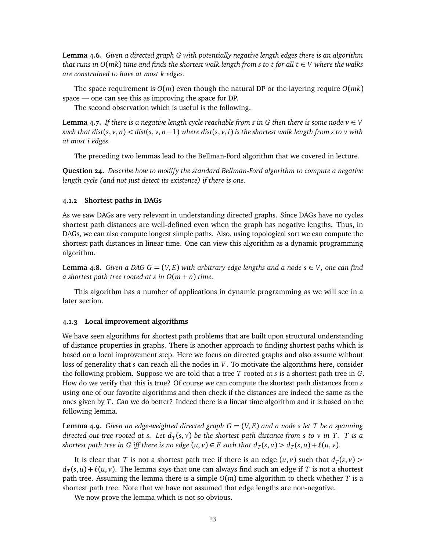**Lemma 4.6.** *Given a directed graph G with potentially negative length edges there is an algorithm that runs in O*(*mk*) *time and finds the shortest walk length from s to t for all t* ∈ *V where the walks are constrained to have at most k edges.*

The space requirement is  $O(m)$  even though the natural DP or the layering require  $O(mk)$ space — one can see this as improving the space for DP.

The second observation which is useful is the following.

**Lemma 4.7.** *If there is a negative length cycle reachable from s in G then there is some node*  $v \in V$ such that dist(s, v, n) < dist(s, v, n  $-1$ ) where dist(s, v, i) is the shortest walk length from s to v with *at most i edges.*

The preceding two lemmas lead to the Bellman-Ford algorithm that we covered in lecture.

**Question 24.** *Describe how to modify the standard Bellman-Ford algorithm to compute a negative length cycle (and not just detect its existence) if there is one.*

#### **4.1.2 Shortest paths in DAGs**

As we saw DAGs are very relevant in understanding directed graphs. Since DAGs have no cycles shortest path distances are well-defined even when the graph has negative lengths. Thus, in DAGs, we can also compute longest simple paths. Also, using topological sort we can compute the shortest path distances in linear time. One can view this algorithm as a dynamic programming algorithm.

**Lemma 4.8.** *Given a DAG*  $G = (V, E)$  *with arbitrary edge lengths and a node*  $s \in V$ *, one can find a shortest path tree rooted at s in O*(*m* + *n*) *time.*

This algorithm has a number of applications in dynamic programming as we will see in a later section.

#### **4.1.3 Local improvement algorithms**

We have seen algorithms for shortest path problems that are built upon structural understanding of distance properties in graphs. There is another approach to finding shortest paths which is based on a local improvement step. Here we focus on directed graphs and also assume without loss of generality that *s* can reach all the nodes in *V*. To motivate the algorithms here, consider the following problem. Suppose we are told that a tree *T* rooted at *s* is a shortest path tree in *G*. How do we verify that this is true? Of course we can compute the shortest path distances from *s* using one of our favorite algorithms and then check if the distances are indeed the same as the ones given by *T*. Can we do better? Indeed there is a linear time algorithm and it is based on the following lemma.

**Lemma 4.9.** *Given an edge-weighted directed graph G* = (*V*, *E*) *and a node s let T be a spanning directed out-tree rooted at s. Let d<sup>T</sup>* (*s*, *v*) *be the shortest path distance from s to v in T. T is a* shortest path tree in G iff there is no edge  $(u, v) \in E$  such that  $d_T(s, v) > d_T(s, u) + \ell(u, v)$ .

It is clear that *T* is not a shortest path tree if there is an edge  $(u, v)$  such that  $d_T(s, v)$  >  $d_T(s,u) + \ell(u,v)$ . The lemma says that one can always find such an edge if  $T$  is not a shortest path tree. Assuming the lemma there is a simple *O*(*m*) time algorithm to check whether *T* is a shortest path tree. Note that we have not assumed that edge lengths are non-negative.

We now prove the lemma which is not so obvious.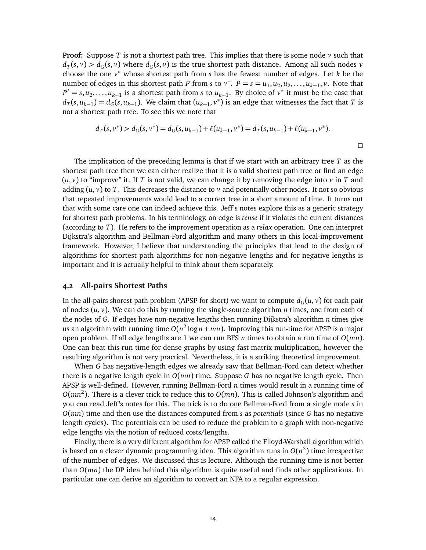**Proof:** Suppose *T* is not a shortest path tree. This implies that there is some node *v* such that  $d_T(s, v) > d_G(s, v)$  where  $d_G(s, v)$  is the true shortest path distance. Among all such nodes *v* choose the one  $v^*$  whose shortest path from *s* has the fewest number of edges. Let  $k$  be the number of edges in this shortest path *P* from *s* to  $v^*$ .  $P = s = u_1, u_2, u_2, \ldots, u_{k-1}, v$ . Note that  $P' = s, u_2, \ldots, u_{k-1}$  is a shortest path from *s* to  $u_{k-1}$ . By choice of  $v^*$  it must be the case that  $d_T(s, u_{k-1}) = d_G(s, u_{k-1})$ . We claim that  $(u_{k-1}, v^*)$  is an edge that witnesses the fact that *T* is not a shortest path tree. To see this we note that

$$
d_T(s, v^*) > d_G(s, v^*) = d_G(s, u_{k-1}) + \ell(u_{k-1}, v^*) = d_T(s, u_{k-1}) + \ell(u_{k-1}, v^*).
$$

The implication of the preceding lemma is that if we start with an arbitrary tree *T* as the shortest path tree then we can either realize that it is a valid shortest path tree or find an edge  $(u, v)$  to "improve" it. If *T* is not valid, we can change it by removing the edge into *v* in *T* and adding  $(u, v)$  to T. This decreases the distance to v and potentially other nodes. It not so obvious that repeated improvements would lead to a correct tree in a short amount of time. It turns out that with some care one can indeed achieve this. Jeff's notes explore this as a generic strategy for shortest path problems. In his terminology, an edge is *tense* if it violates the current distances (according to *T*). He refers to the improvement operation as a *relax* operation. One can interpret Dijkstra's algorithm and Bellman-Ford algorithm and many others in this local-improvement framework. However, I believe that understanding the principles that lead to the design of algorithms for shortest path algorithms for non-negative lengths and for negative lengths is important and it is actually helpful to think about them separately.

#### **4.2 All-pairs Shortest Paths**

In the all-pairs shorest path problem (APSP for short) we want to compute  $d_G(u, v)$  for each pair of nodes  $(u, v)$ . We can do this by running the single-source algorithm *n* times, one from each of the nodes of *G*. If edges have non-negative lengths then running Dijkstra's algorithm *n* times give us an algorithm with running time *O*(*n* 2 log *n*+ *mn*). Improving this run-time for APSP is a major open problem. If all edge lengths are 1 we can run BFS *n* times to obtain a run time of *O*(*mn*). One can beat this run time for dense graphs by using fast matrix multiplication, however the resulting algorithm is not very practical. Nevertheless, it is a striking theoretical improvement.

When *G* has negative-length edges we already saw that Bellman-Ford can detect whether there is a negative length cycle in *O*(*mn*) time. Suppose *G* has no negative length cycle. Then APSP is well-defined. However, running Bellman-Ford *n* times would result in a running time of *O*(*mn*<sup>2</sup> ). There is a clever trick to reduce this to *O*(*mn*). This is called Johnson's algorithm and you can read Jeff's notes for this. The trick is to do one Bellman-Ford from a single node *s* in *O*(*mn*) time and then use the distances computed from *s* as *potentials* (since *G* has no negative length cycles). The potentials can be used to reduce the problem to a graph with non-negative edge lengths via the notion of reduced costs/lengths.

Finally, there is a very different algorithm for APSP called the Flloyd-Warshall algorithm which is based on a clever dynamic programming idea. This algorithm runs in  $O(n^3)$  time irrespective of the number of edges. We discussed this is lecture. Although the running time is not better than *O*(*mn*) the DP idea behind this algorithm is quite useful and finds other applications. In particular one can derive an algorithm to convert an NFA to a regular expression.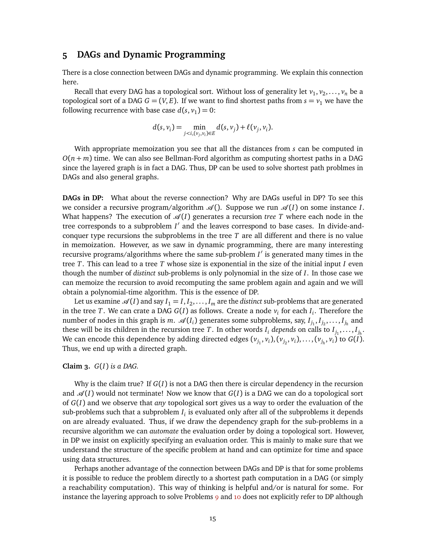### **5 DAGs and Dynamic Programming**

There is a close connection between DAGs and dynamic programming. We explain this connection here.

Recall that every DAG has a topological sort. Without loss of generality let  $v_1,v_2,\ldots,v_n$  be a topological sort of a DAG  $G = (V, E)$ . If we want to find shortest paths from  $s = v_1$  we have the following recurrence with base case  $d(s, v_1) = 0$ :

$$
d(s, v_i) = \min_{j < i, (v_j, v_i) \in E} d(s, v_j) + \ell(v_j, v_i).
$$

With appropriate memoization you see that all the distances from *s* can be computed in  $O(n+m)$  time. We can also see Bellman-Ford algorithm as computing shortest paths in a DAG since the layered graph is in fact a DAG. Thus, DP can be used to solve shortest path problmes in DAGs and also general graphs.

**DAGs in DP:** What about the reverse connection? Why are DAGs useful in DP? To see this we consider a recursive program/algorithm  $\mathcal{A}()$ . Suppose we run  $\mathcal{A}(I)$  on some instance *I*. What happens? The execution of  $\mathcal{A}(I)$  generates a recursion *tree T* where each node in the tree corresponds to a subproblem *I'* and the leaves correspond to base cases. In divide-andconquer type recursions the subproblems in the tree *T* are all different and there is no value in memoization. However, as we saw in dynamic programming, there are many interesting recursive programs/algorithms where the same sub-problem *I'* is generated many times in the tree *T*. This can lead to a tree *T* whose size is exponential in the size of the initial input *I* even though the number of *distinct* sub-problems is only polynomial in the size of *I*. In those case we can memoize the recursion to avoid recomputing the same problem again and again and we will obtain a polynomial-time algorithm. This is the essence of DP.

Let us examine  $\mathscr{A}(I)$  and say  $I_1 = I, I_2, \ldots, I_m$  are the *distinct* sub-problems that are generated in the tree *T*. We can crate a DAG *G*(*I*) as follows. Create a node *v<sup>i</sup>* for each *I<sup>i</sup>* . Therefore the number of nodes in this graph is *m.*  $\mathcal{A}(I_i)$  generates some subproblems, say,  $I_{j_1}, I_{j_2}, \ldots, I_{j_h}$  and these will be its children in the recursion tree  $T$ . In other words  $I_i$  *depends* on calls to  $I_{j_1}, \ldots, I_{j_h}.$ We can encode this dependence by adding directed edges  $(v_{j_1}, v_i), (v_{j_2}, v_i), \ldots, (v_{j_h}, v_i)$  to  $G(I)$ . Thus, we end up with a directed graph.

#### **Claim 3.** *G*(*I*) *is a DAG.*

Why is the claim true? If *G*(*I*) is not a DAG then there is circular dependency in the recursion and  $\mathcal{A}(I)$  would not terminate! Now we know that  $G(I)$  is a DAG we can do a topological sort of *G*(*I*) and we observe that *any* topological sort gives us a way to order the evaluation of the  $\mathop{\mathsf{sub}}$ -problems such that a subproblem  $I_i$  is evaluated only after all of the subproblems it depends on are already evaluated. Thus, if we draw the dependency graph for the sub-problems in a recursive algorithm we can *automate* the evaluation order by doing a topological sort. However, in DP we insist on explicitly specifying an evaluation order. This is mainly to make sure that we understand the structure of the specific problem at hand and can optimize for time and space using data structures.

Perhaps another advantage of the connection between DAGs and DP is that for some problems it is possible to reduce the problem directly to a shortest path computation in a DAG (or simply a reachability computation). This way of thinking is helpful and/or is natural for some. For instance the layering approach to solve Problems [9](#page-7-0) and [10](#page-11-0) does not explicitly refer to DP although